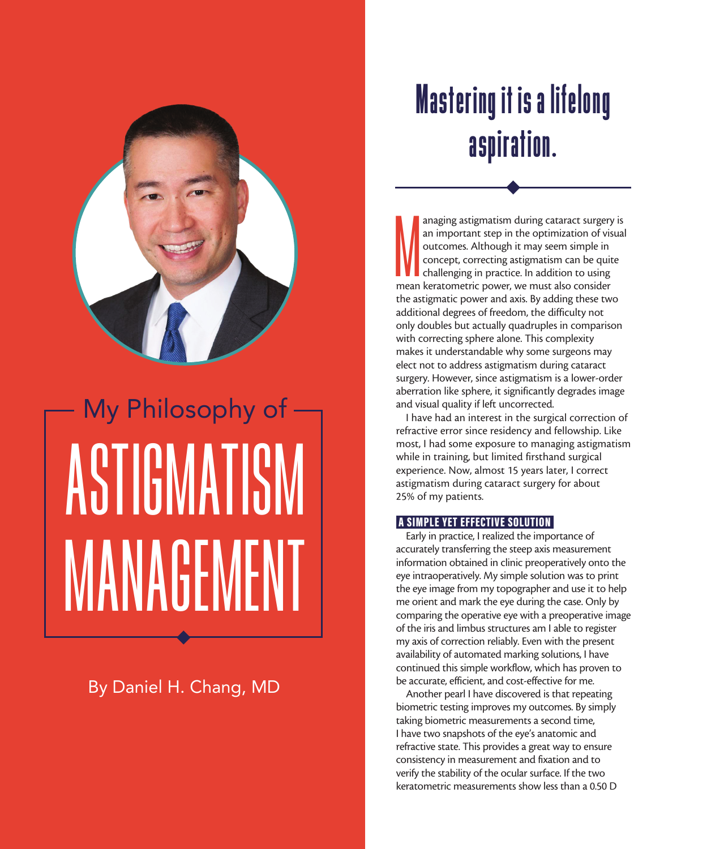

# My Philosophy of ASTIGMATISM MANAGEMENT

### By Daniel H. Chang, MD

## Mastering it is a lifelong aspiration.

an important step in the optimization of vis<br>an important step in the optimization of vis<br>outcomes. Although it may seem simple in<br>concept, correcting astigmatism can be quit<br>challenging in practice. In addition to using<br>m anaging astigmatism during cataract surgery is an important step in the optimization of visual outcomes. Although it may seem simple in concept, correcting astigmatism can be quite challenging in practice. In addition to using the astigmatic power and axis. By adding these two additional degrees of freedom, the difficulty not only doubles but actually quadruples in comparison with correcting sphere alone. This complexity makes it understandable why some surgeons may elect not to address astigmatism during cataract surgery. However, since astigmatism is a lower-order aberration like sphere, it significantly degrades image and visual quality if left uncorrected.

I have had an interest in the surgical correction of refractive error since residency and fellowship. Like most, I had some exposure to managing astigmatism while in training, but limited firsthand surgical experience. Now, almost 15 years later, I correct astigmatism during cataract surgery for about 25% of my patients.

#### A SIMPLE YET EFFECTIVE SOLUTION

Early in practice, I realized the importance of accurately transferring the steep axis measurement information obtained in clinic preoperatively onto the eye intraoperatively. My simple solution was to print the eye image from my topographer and use it to help me orient and mark the eye during the case. Only by comparing the operative eye with a preoperative image of the iris and limbus structures am I able to register my axis of correction reliably. Even with the present availability of automated marking solutions, I have continued this simple workflow, which has proven to be accurate, efficient, and cost-effective for me.

Another pearl I have discovered is that repeating biometric testing improves my outcomes. By simply taking biometric measurements a second time, I have two snapshots of the eye's anatomic and refractive state. This provides a great way to ensure consistency in measurement and fixation and to verify the stability of the ocular surface. If the two keratometric measurements show less than a 0.50 D